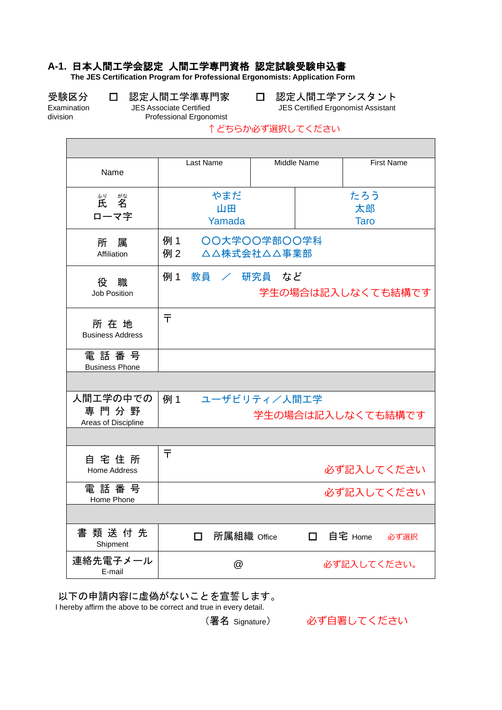## **A-1.** 日本人間工学会認定 人間工学専門資格 認定試験受験申込書

**The JES Certification Program for Professional Ergonomists: Application Form**

受験区分 口 認定人間工学準専門家 口 認定人間工学アシスタント<br>Examination JES Associate Certified Stamination JES Certified Ergonomist Assistant

Examination JES Associate Certified JES Certified Ergonomist Assistant Professional Ergonomist

#### ↑どちらか必ず選択してください

| Name                                          | Last Name           |                             | Middle Name              |                | <b>First Name</b> |  |
|-----------------------------------------------|---------------------|-----------------------------|--------------------------|----------------|-------------------|--|
| がな<br>。"<br>氏<br>$\tilde{\mathbf{z}}$<br>ローマ字 | やまだ<br>山田<br>Yamada |                             | たろう<br>太郎<br><b>Taro</b> |                |                   |  |
| 所<br>属<br>Affiliation                         | 例 1<br>例 2          | OO大学OO学部OO学科<br>△△株式会社△△事業部 |                          |                |                   |  |
| 役<br>職<br><b>Job Position</b>                 | 例 1                 | 教員 / 研究員 など                 |                          |                | 学生の場合は記入しなくても結構です |  |
| 所在地<br><b>Business Address</b>                | 〒                   |                             |                          |                |                   |  |
| 電話番号<br><b>Business Phone</b>                 |                     |                             |                          |                |                   |  |
|                                               |                     |                             |                          |                |                   |  |
| 人間工学の中での<br>専門分野<br>Areas of Discipline       | 例 1                 | ユーザビリティ/人間工学                | 学生の場合は記入しなくても結構です        |                |                   |  |
|                                               |                     |                             |                          |                |                   |  |
| 自宅住所<br>Home Address                          | ╤                   |                             |                          | 必ず記入してください     |                   |  |
| 電 話 番 号<br>Home Phone                         |                     |                             |                          | 必ず記入してください     |                   |  |
|                                               |                     |                             |                          |                |                   |  |
| 書類送付先<br>Shipment                             | $\Box$              | 所属組織 Office                 |                          | □ 自宅 Home 必ず選択 |                   |  |
| 連絡先電子メール<br>E-mail                            |                     | @                           |                          | 必ず記入してください。    |                   |  |

以下の申請内容に虚偽がないことを宣誓します。

I hereby affirm the above to be correct and true in every detail.

(署名 Signature) 必ず自署してください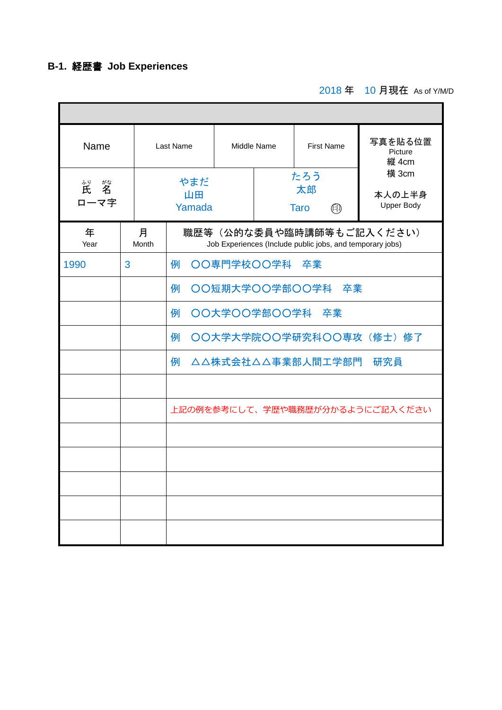# **B-1.** 経歴書 **Job Experiences**

2018 年 10 月現在 As of Y/M/D

à,

| Name<br>"  "<br>ローマ字 |            |  | Last Name                       |                                                                                       | <b>First Name</b><br>Middle Name |                                 | 写真を貼る位置<br>Picture<br>縦 4cm          |  |  |  |
|----------------------|------------|--|---------------------------------|---------------------------------------------------------------------------------------|----------------------------------|---------------------------------|--------------------------------------|--|--|--|
|                      |            |  | やまだ<br>山田<br>Yamada             |                                                                                       |                                  | たろう<br>太郎<br><b>Taro</b><br>(印) | 横 3cm<br>本人の上半身<br><b>Upper Body</b> |  |  |  |
| 年<br>Year            | 月<br>Month |  |                                 | 職歴等(公的な委員や臨時講師等もご記入ください)<br>Job Experiences (Include public jobs, and temporary jobs) |                                  |                                 |                                      |  |  |  |
| 3<br>1990            |            |  | 例                               |                                                                                       | OO専門学校OO学科 卒業                    |                                 |                                      |  |  |  |
|                      |            |  | OO短期大学OO学部OO学科 卒業<br>例          |                                                                                       |                                  |                                 |                                      |  |  |  |
|                      |            |  | ○○大学○○学部○○学科<br>例<br>卒業         |                                                                                       |                                  |                                 |                                      |  |  |  |
|                      |            |  | 例                               |                                                                                       |                                  | ○〇大学大学院〇〇学研究科〇〇専攻(修士)修了         |                                      |  |  |  |
|                      |            |  | △△株式会社△△事業部人間工学部門<br>研究員<br>例   |                                                                                       |                                  |                                 |                                      |  |  |  |
|                      |            |  |                                 |                                                                                       |                                  |                                 |                                      |  |  |  |
|                      |            |  | 上記の例を参考にして、学歴や職務歴が分かるようにご記入ください |                                                                                       |                                  |                                 |                                      |  |  |  |
|                      |            |  |                                 |                                                                                       |                                  |                                 |                                      |  |  |  |
|                      |            |  |                                 |                                                                                       |                                  |                                 |                                      |  |  |  |
|                      |            |  |                                 |                                                                                       |                                  |                                 |                                      |  |  |  |
|                      |            |  |                                 |                                                                                       |                                  |                                 |                                      |  |  |  |
|                      |            |  |                                 |                                                                                       |                                  |                                 |                                      |  |  |  |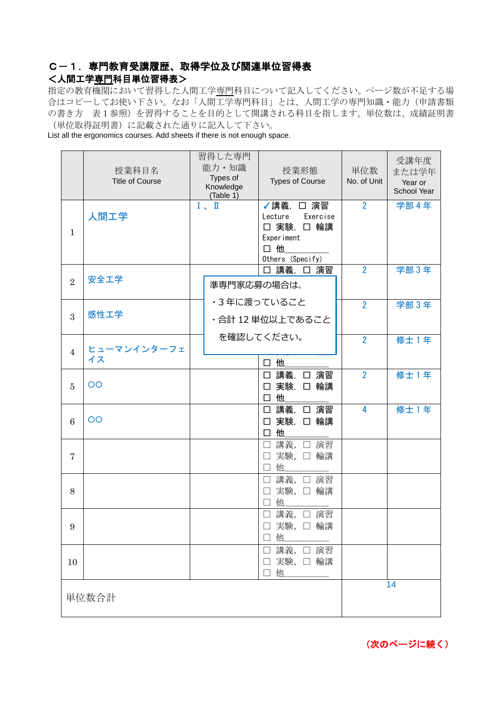### C-1.専門教育受講履歴、取得学位及び関連単位習得表

#### <人間工学専門科目単位習得表>

指定の教育機関において習得した人間工学専門科目について記入してください。ページ数が不足する場 合はコピーしてお使い下さい。なお「人間工学専門科目」とは、人間工学の専門知識・能力(申請書類 の書き方 表1参照)を習得することを目的として開講される科目を指します。単位数は、成績証明書 (単位取得証明書)に記載された通りに記入して下さい。

List all the ergonomics courses. Add sheets if there is not enough space.

|                | 授業科目名<br><b>Title of Course</b> | 習得した専門<br>能力·知識<br>Types of<br>Knowledge<br>(Table 1) |                            |                              | 授業形態<br><b>Types of Course</b>                          | 単位数<br>No. of Unit | 受講年度<br>または学年<br>Year or<br>School Year |
|----------------|---------------------------------|-------------------------------------------------------|----------------------------|------------------------------|---------------------------------------------------------|--------------------|-----------------------------------------|
| $\mathbf{1}$   | 人間工学                            | $I \sim II$                                           | 口他                         | Lecture<br><b>Experiment</b> | √講義, □ 演習<br>Exercise<br>□ 実験, □ 輪講<br>Others (Specify) | $\overline{2}$     | 学部 4年                                   |
| $\overline{2}$ | 安全工学                            | 準専門家応募の場合は、                                           |                            |                              | □ 講義, □ 演習                                              | $\overline{2}$     | 学部3年                                    |
| 3              | 感性工学                            | •3年に渡っていること<br>・合計 12 単位以上であること                       |                            |                              |                                                         | $\overline{2}$     | 学部3年                                    |
| 4              | ヒューマンインターフェ<br>イス               | を確認してください。                                            | 口他                         |                              |                                                         | $\overline{2}$     | 修士 1年                                   |
| 5              | $\overline{O}O$                 |                                                       | $\Box$                     | 他                            | □ 講義, □ 演習<br>□ 実験, □ 輪講                                | $\overline{2}$     | 修士 1年                                   |
| 6              | $\overline{O}O$                 |                                                       | $\Box$                     | 他                            | □ 講義, □ 演習<br>□ 実験, □ 輪講                                | 4                  | 修士 1年                                   |
| $\overline{7}$ |                                 |                                                       | $\Box$<br>$\Box$<br>$\Box$ | 他                            | 講義, □ 演習<br>実験, 口輪講                                     |                    |                                         |
| 8              |                                 |                                                       | $\Box$<br>□<br>□ 他         |                              | 講義, □ 演習<br>実験, 口輪講                                     |                    |                                         |
| 9              |                                 |                                                       | $\Box$<br>□ 他              | 講義,                          | □ 演習<br>□ 実験, □ 輪講                                      |                    |                                         |
| 10             |                                 |                                                       | □ 他                        |                              | □ 講義, □ 演習<br>□ 実験, □ 輪講                                |                    |                                         |
|                | 単位数合計                           |                                                       |                            |                              |                                                         |                    | 14                                      |

(次のページに続く)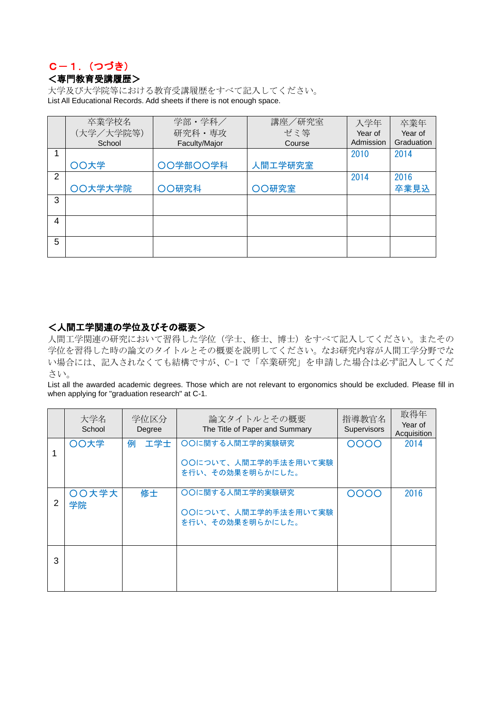### C-1.(つづき) <専門教育受講履歴>

大学及び大学院等における教育受講履歴をすべて記入してください。 List All Educational Records. Add sheets if there is not enough space.

|                | 卒業学校名     | 学部・学科/        | 講座/研究室  | 入学年       | 卒業年        |
|----------------|-----------|---------------|---------|-----------|------------|
|                | (大学/大学院等) | 研究科·専攻        | ゼミ等     | Year of   | Year of    |
|                | School    | Faculty/Major | Course  | Admission | Graduation |
|                |           |               |         | 2010      | 2014       |
|                | ○○大学      | OO学部OO学科      | 人間工学研究室 |           |            |
| $\overline{2}$ |           |               |         | 2014      | 2016       |
|                | ○○大学大学院   | OO研究科         | ○○研究室   |           | 卒業見込       |
| 3              |           |               |         |           |            |
|                |           |               |         |           |            |
| 4              |           |               |         |           |            |
| 5              |           |               |         |           |            |
|                |           |               |         |           |            |

#### <人間工学関連の学位及びその概要>

人間工学関連の研究において習得した学位(学士、修士、博士)をすべて記入してください。またその 学位を習得した時の論文のタイトルとその概要を説明してください。なお研究内容が人間工学分野でな い場合には、記入されなくても結構ですが、C-1 で「卒業研究」を申請した場合は必ず記入してくだ さい。

List all the awarded academic degrees. Those which are not relevant to ergonomics should be excluded. Please fill in when applying for "graduation research" at C-1.

|   | 大学名<br>School | 学位区分<br>Degree | 論文タイトルとその概要<br>The Title of Paper and Summary               | 指導教官名<br>Supervisors | 取得年<br>Year of<br>Acquisition |
|---|---------------|----------------|-------------------------------------------------------------|----------------------|-------------------------------|
|   | ○○大学          | 工学士<br>例       | ○○に関する人間工学的実験研究<br>○○について、人間工学的手法を用いて実験<br>を行い、その効果を明らかにした。 | 0000                 | 2014                          |
| 2 | ○○大学大<br>学院   | 修士             | ○○に関する人間工学的実験研究<br>○○について、人間工学的手法を用いて実験<br>を行い、その効果を明らかにした。 | 0000                 | 2016                          |
| 3 |               |                |                                                             |                      |                               |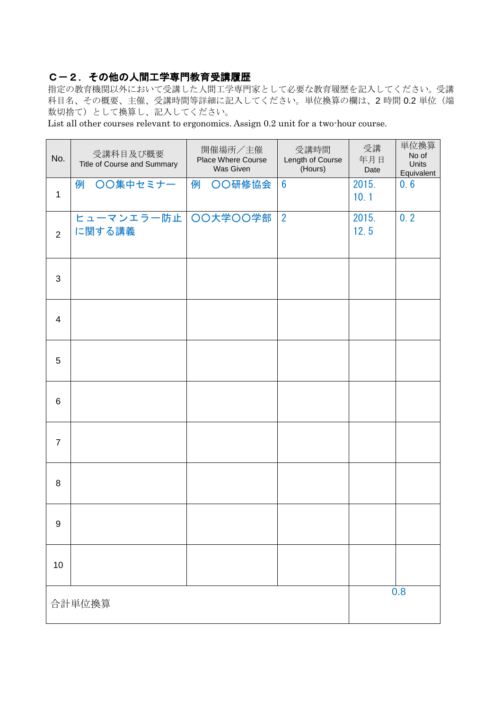#### C-2.その他の人間工学専門教育受講履歴

指定の教育機関以外において受講した人間工学専門家として必要な教育履歴を記入してください。受講 科目名、その概要、主催、受講時間等詳細に記入してください。単位換算の欄は、2 時間 0.2 単位(端 数切捨て)として換算し、記入してください。

List all other courses relevant to ergonomics. Assign 0.2 unit for a two-hour course.

| No.            | 受講科目及び概要<br>Title of Course and Summary | 開催場所/主催<br>Place Where Course<br>Was Given | 受講時間<br>Length of Course<br>(Hours) | 受講<br>年月日<br>Date | 単位換算<br>No of<br>Units<br>Equivalent |
|----------------|-----------------------------------------|--------------------------------------------|-------------------------------------|-------------------|--------------------------------------|
| $\mathbf{1}$   | ○○集中セミナー<br>例                           | <b>OO研修協会</b><br>例                         | $6\phantom{1}$                      | 2015.<br>10.1     | 0.6                                  |
| $\overline{2}$ | ヒューマンエラー防止 OO大学OO学部<br>に関する講義           |                                            | $\overline{2}$                      | 2015.<br>12.5     | 0.2                                  |
| $\mathbf{3}$   |                                         |                                            |                                     |                   |                                      |
| $\overline{4}$ |                                         |                                            |                                     |                   |                                      |
| 5              |                                         |                                            |                                     |                   |                                      |
| 6              |                                         |                                            |                                     |                   |                                      |
| $\overline{7}$ |                                         |                                            |                                     |                   |                                      |
| 8              |                                         |                                            |                                     |                   |                                      |
| 9              |                                         |                                            |                                     |                   |                                      |
| 10             |                                         |                                            |                                     |                   |                                      |
|                | 合計単位換算                                  |                                            | 0.8                                 |                   |                                      |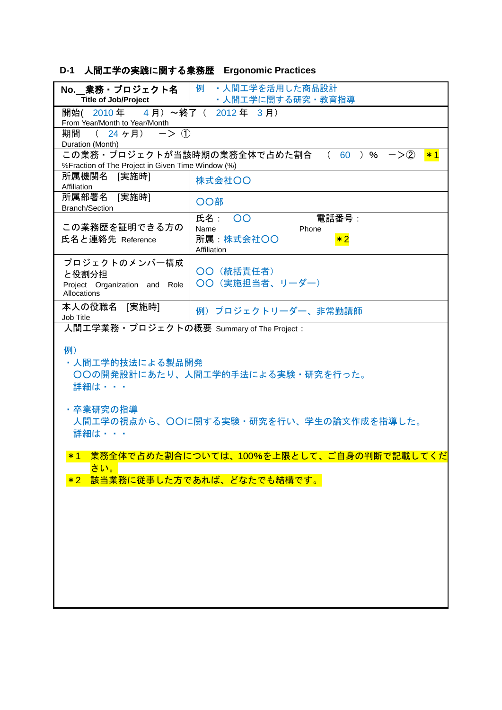# **D-1** 人間工学の実践に関する業務歴 **Ergonomic Practices**

|                                                                  | No. _ 業務·プロジェクト名   例 ·人間工学を活用した商品設計                     |
|------------------------------------------------------------------|---------------------------------------------------------|
| <b>Title of Job/Project</b>                                      | │ → 人間エ学に関する研究・教育指導                                     |
| 開始 (2010年 4月) ~終了 (2012年 3月)<br>From Year/Month to Year/Month    |                                                         |
| 期間<br>(24 ヶ月) $\rightarrow$ ①                                    |                                                         |
| Duration (Month)                                                 |                                                         |
|                                                                  | この業務・プロジェクトが当該時期の業務全体で占めた割合 ( 60 )% ー>② <mark>*1</mark> |
| %Fraction of The Project in Given Time Window (%)<br>所属機関名 [実施時] |                                                         |
| Affiliation                                                      | 株式会社〇〇                                                  |
| 所属部署名 [実施時]<br><b>Branch/Section</b>                             | ○○部                                                     |
|                                                                  | 氏名: 00<br>電話番号:                                         |
| この業務歴を証明できる方の                                                    | Name<br>Phone                                           |
| 氏名と連絡先 Reference                                                 | 所属 株式会社OO<br>$*2$<br>Affiliation                        |
| プロジェクトのメンバー構成                                                    |                                                         |
|                                                                  | 〇〇 (統括責任者)                                              |
| と役割分担<br>Project Organization and Role                           | ○○ (実施担当者、リーダー)                                         |
| Allocations                                                      |                                                         |
| 本人の役職名 [実施時]<br>Job Title                                        | 例) プロジェクトリーダー、非常勤講師                                     |
| 人間工学業務·プロジェクトの概要 Summary of The Project :                        |                                                         |
| 例)<br>・人間エ学的技法による製品開発<br>詳細は・・・                                  | 〇〇の開発設計にあたり、人間工学的手法による実験・研究を行った。                        |
| ・卒業研究の指導<br>詳細は・・・                                               | 人間工学の視点から、〇〇に関する実験・研究を行い、学生の論文作成を指導した。                  |
| $*1$                                                             | <u>業務全体で占めた割合については、100%を上限として、ご自身の判断で記載してくだ</u>         |
| さい。                                                              |                                                         |
| $*2$                                                             | 該当業務に従事した方であれば、どなたでも結構です。                               |
|                                                                  |                                                         |
|                                                                  |                                                         |
|                                                                  |                                                         |
|                                                                  |                                                         |
|                                                                  |                                                         |
|                                                                  |                                                         |
|                                                                  |                                                         |
|                                                                  |                                                         |
|                                                                  |                                                         |
|                                                                  |                                                         |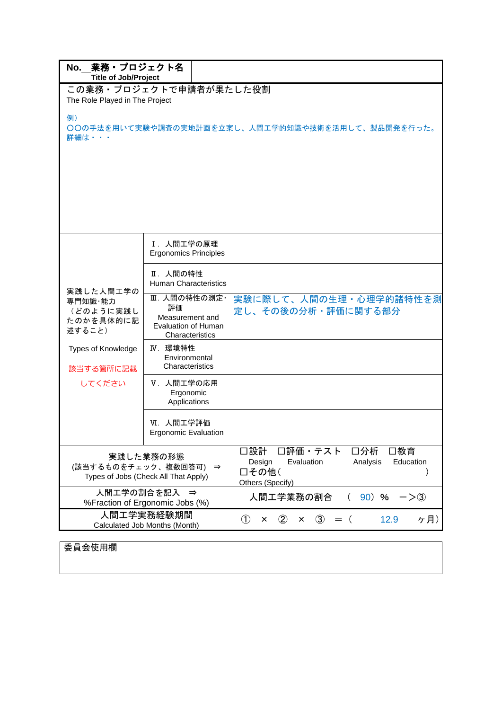| No. 業務 · プロジェクト名<br><b>Title of Job/Project</b>                            |                                                                                 |                                                                                                            |  |  |  |  |  |
|----------------------------------------------------------------------------|---------------------------------------------------------------------------------|------------------------------------------------------------------------------------------------------------|--|--|--|--|--|
| The Role Played in The Project                                             | この業務·プロジェクトで申請者が果たした役割                                                          |                                                                                                            |  |  |  |  |  |
| 例)<br>○○の手法を用いて実験や調査の実地計画を立案し、人間工学的知識や技術を活用して、製品開発を行った。<br>詳細は・・・          |                                                                                 |                                                                                                            |  |  |  |  |  |
|                                                                            |                                                                                 |                                                                                                            |  |  |  |  |  |
|                                                                            | Ⅰ. 人間工学の原理<br><b>Ergonomics Principles</b>                                      |                                                                                                            |  |  |  |  |  |
| 実践した人間工学の<br>専門知識·能力<br>(どのように実践し<br>たのかを具体的に記<br>述すること)                   | Ⅱ. 人間の特性<br><b>Human Characteristics</b>                                        |                                                                                                            |  |  |  |  |  |
|                                                                            | Ⅲ. 人間の特性の測定·<br>評価<br>Measurement and<br>Evaluation of Human<br>Characteristics | 実験に際して、人間の生理・心理学的諸特性を測<br>定し、その後の分析・評価に関する部分                                                               |  |  |  |  |  |
| Types of Knowledge<br>該当する箇所に記載                                            | IV. 環境特性<br>Environmental<br>Characteristics                                    |                                                                                                            |  |  |  |  |  |
| してください                                                                     | V.人間工学の応用<br>Ergonomic<br>Applications                                          |                                                                                                            |  |  |  |  |  |
|                                                                            | VI. 人間工学評価<br><b>Ergonomic Evaluation</b>                                       |                                                                                                            |  |  |  |  |  |
| 実践した業務の形態<br>(該当するものをチェック、複数回答可) ⇒<br>Types of Jobs (Check All That Apply) |                                                                                 | 口設計<br>口評価・テスト<br>口分析<br>□教育<br>Design<br>Evaluation<br>Analysis<br>Education<br>□その他(<br>Others (Specify) |  |  |  |  |  |
|                                                                            | 人間工学の割合を記入 ⇒<br>%Fraction of Ergonomic Jobs (%)                                 | 90) %<br>人間エ学業務の割合<br>$\left($<br>$->(3)$                                                                  |  |  |  |  |  |
|                                                                            | 人間工学実務経験期間<br>Calculated Job Months (Month)                                     | ケ月)<br>$\circled{1}$<br>12.9<br>$\circled{2}$<br>$\circled{3}$<br>$=$ (<br>x<br>×                          |  |  |  |  |  |

委員会使用欄